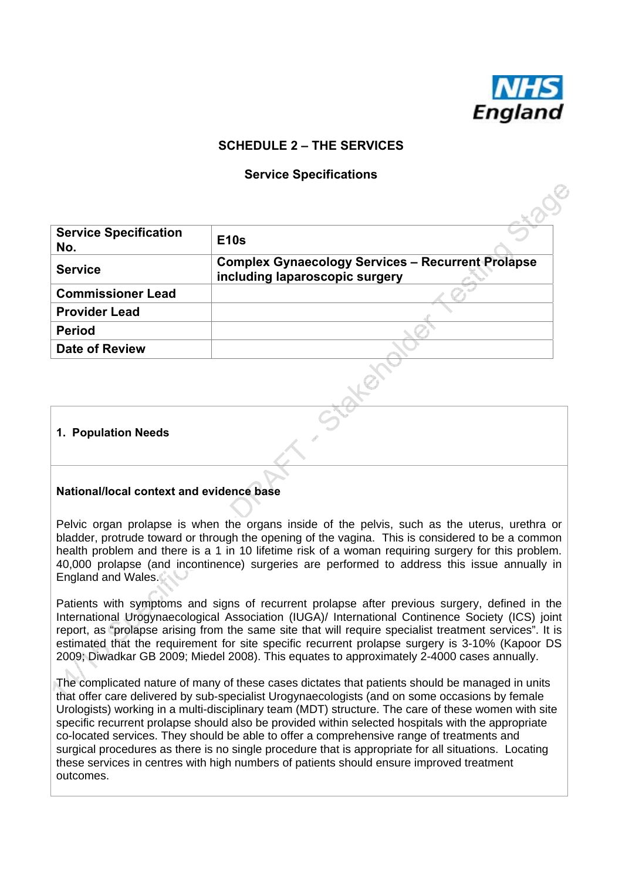

### **SCHEDULE 2 – THE SERVICES**

#### **Service Specifications**

| <b>Service Specification</b><br>No. | <b>E10s</b>                                                                                |
|-------------------------------------|--------------------------------------------------------------------------------------------|
| <b>Service</b>                      | <b>Complex Gynaecology Services - Recurrent Prolapse</b><br>including laparoscopic surgery |
| <b>Commissioner Lead</b>            |                                                                                            |
| <b>Provider Lead</b>                |                                                                                            |
| <b>Period</b>                       |                                                                                            |
| <b>Date of Review</b>               |                                                                                            |
|                                     |                                                                                            |

#### **1. Population Needs**

#### **National/local context and evidence base**

Pelvic organ prolapse is when the organs inside of the pelvis, such as the uterus, urethra or bladder, protrude toward or through the opening of the vagina. This is considered to be a common health problem and there is a 1 in 10 lifetime risk of a woman requiring surgery for this problem. 40,000 prolapse (and incontinence) surgeries are performed to address this issue annually in England and Wales.

Patients with symptoms and signs of recurrent prolapse after previous surgery, defined in the International Urogynaecological Association (IUGA)/ International Continence Society (ICS) joint report, as "prolapse arising from the same site that will require specialist treatment services". It is estimated that the requirement for site specific recurrent prolapse surgery is 3-10% (Kapoor DS 2009; Diwadkar GB 2009; Miedel 2008). This equates to approximately 2-4000 cases annually.

The complicated nature of many of these cases dictates that patients should be managed in units that offer care delivered by sub-specialist Urogynaecologists (and on some occasions by female Urologists) working in a multi-disciplinary team (MDT) structure. The care of these women with site specific recurrent prolapse should also be provided within selected hospitals with the appropriate co-located services. They should be able to offer a comprehensive range of treatments and surgical procedures as there is no single procedure that is appropriate for all situations. Locating these services in centres with high numbers of patients should ensure improved treatment outcomes.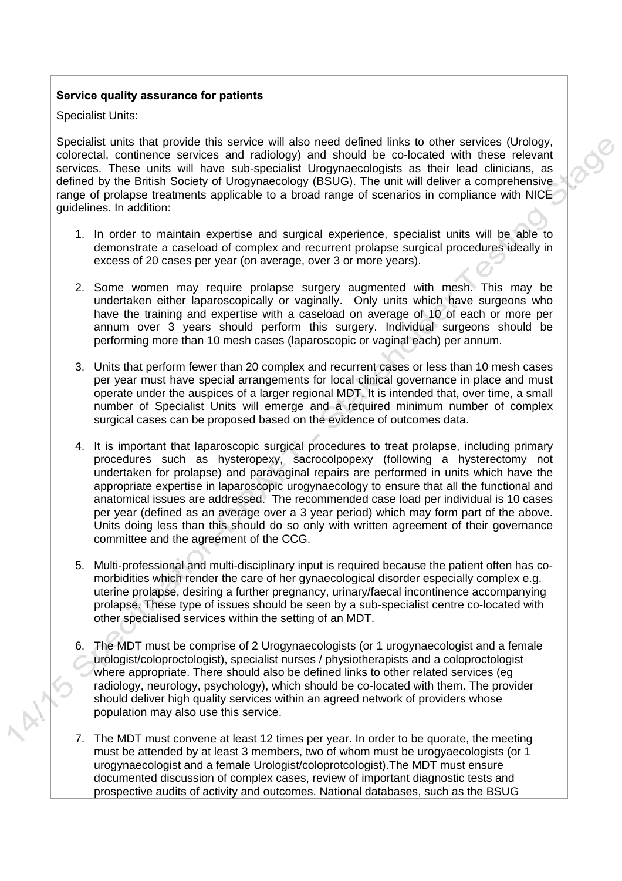#### **Service quality assurance for patients**

Specialist Units:

Specialist units that provide this service will also need defined links to other services (Urology, colorectal, continence services and radiology) and should be co-located with these relevant services. These units will have sub-specialist Urogynaecologists as their lead clinicians, as defined by the British Society of Urogynaecology (BSUG). The unit will deliver a comprehensive range of prolapse treatments applicable to a broad range of scenarios in compliance with NICE guidelines. In addition:

- 1. In order to maintain expertise and surgical experience, specialist units will be able to demonstrate a caseload of complex and recurrent prolapse surgical procedures ideally in excess of 20 cases per year (on average, over 3 or more years).
- 2. Some women may require prolapse surgery augmented with mesh. This may be undertaken either laparoscopically or vaginally. Only units which have surgeons who have the training and expertise with a caseload on average of 10 of each or more per annum over 3 years should perform this surgery. Individual surgeons should be performing more than 10 mesh cases (laparoscopic or vaginal each) per annum.
- 3. Units that perform fewer than 20 complex and recurrent cases or less than 10 mesh cases per year must have special arrangements for local clinical governance in place and must operate under the auspices of a larger regional MDT. It is intended that, over time, a small number of Specialist Units will emerge and a required minimum number of complex surgical cases can be proposed based on the evidence of outcomes data.
- 4. It is important that laparoscopic surgical procedures to treat prolapse, including primary procedures such as hysteropexy, sacrocolpopexy (following a hysterectomy not undertaken for prolapse) and paravaginal repairs are performed in units which have the appropriate expertise in laparoscopic urogynaecology to ensure that all the functional and anatomical issues are addressed. The recommended case load per individual is 10 cases per year (defined as an average over a 3 year period) which may form part of the above. Units doing less than this should do so only with written agreement of their governance committee and the agreement of the CCG.
- 5. Multi-professional and multi-disciplinary input is required because the patient often has comorbidities which render the care of her gynaecological disorder especially complex e.g. uterine prolapse, desiring a further pregnancy, urinary/faecal incontinence accompanying prolapse. These type of issues should be seen by a sub-specialist centre co-located with other specialised services within the setting of an MDT.
- 6. The MDT must be comprise of 2 Urogynaecologists (or 1 urogynaecologist and a female urologist/coloproctologist), specialist nurses / physiotherapists and a coloproctologist where appropriate. There should also be defined links to other related services (eg radiology, neurology, psychology), which should be co-located with them. The provider should deliver high quality services within an agreed network of providers whose population may also use this service.
- 7. The MDT must convene at least 12 times per year. In order to be quorate, the meeting must be attended by at least 3 members, two of whom must be urogyaecologists (or 1) urogynaecologist and a female Urologist/coloprotcologist).The MDT must ensure documented discussion of complex cases, review of important diagnostic tests and prospective audits of activity and outcomes. National databases, such as the BSUG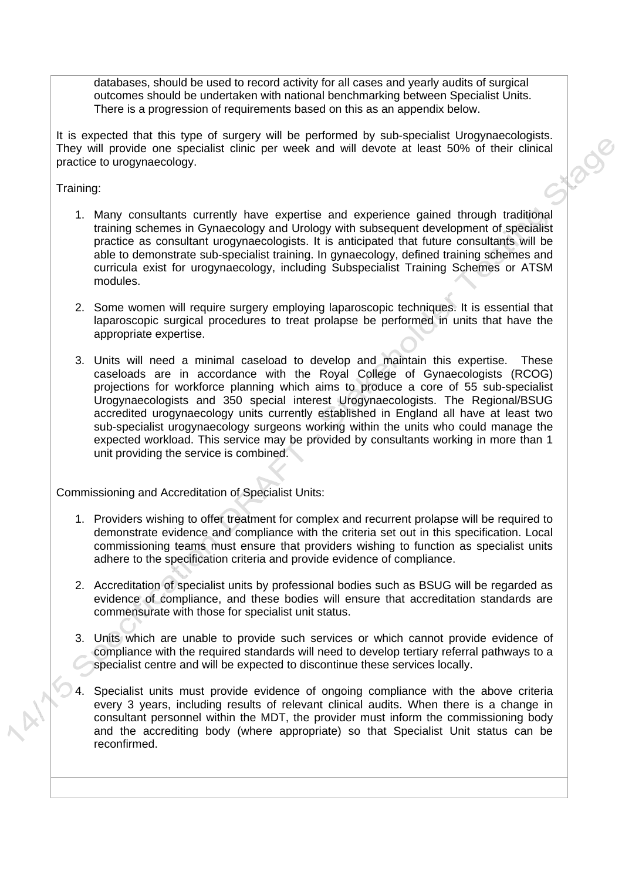databases, should be used to record activity for all cases and yearly audits of surgical outcomes should be undertaken with national benchmarking between Specialist Units. There is a progression of requirements based on this as an appendix below.

It is expected that this type of surgery will be performed by sub-specialist Urogynaecologists. They will provide one specialist clinic per week and will devote at least 50% of their clinical practice to urogynaecology.

Training:

- 1. Many consultants currently have expertise and experience gained through traditional training schemes in Gynaecology and Urology with subsequent development of specialist practice as consultant urogynaecologists. It is anticipated that future consultants will be able to demonstrate sub-specialist training. In gynaecology, defined training schemes and curricula exist for urogynaecology, including Subspecialist Training Schemes or ATSM modules.
- 2. Some women will require surgery employing laparoscopic techniques. It is essential that laparoscopic surgical procedures to treat prolapse be performed in units that have the appropriate expertise.
- 3. Units will need a minimal caseload to develop and maintain this expertise. These caseloads are in accordance with the Royal College of Gynaecologists (RCOG) projections for workforce planning which aims to produce a core of 55 sub-specialist Urogynaecologists and 350 special interest Urogynaecologists. The Regional/BSUG accredited urogynaecology units currently established in England all have at least two sub-specialist urogynaecology surgeons working within the units who could manage the expected workload. This service may be provided by consultants working in more than 1 unit providing the service is combined.

Commissioning and Accreditation of Specialist Units:

- 1. Providers wishing to offer treatment for complex and recurrent prolapse will be required to demonstrate evidence and compliance with the criteria set out in this specification. Local commissioning teams must ensure that providers wishing to function as specialist units adhere to the specification criteria and provide evidence of compliance.
- 2. Accreditation of specialist units by professional bodies such as BSUG will be regarded as evidence of compliance, and these bodies will ensure that accreditation standards are commensurate with those for specialist unit status.
- 3. Units which are unable to provide such services or which cannot provide evidence of compliance with the required standards will need to develop tertiary referral pathways to a specialist centre and will be expected to discontinue these services locally.
- 4. Specialist units must provide evidence of ongoing compliance with the above criteria every 3 years, including results of relevant clinical audits. When there is a change in consultant personnel within the MDT, the provider must inform the commissioning body and the accrediting body (where appropriate) so that Specialist Unit status can be reconfirmed.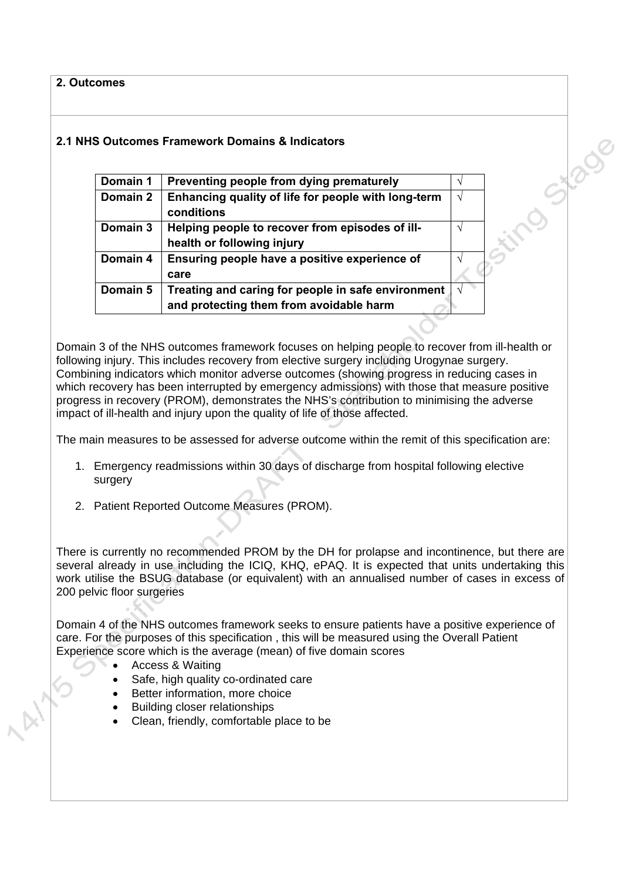**2. Outcomes** 

# **2.1 NHS Outcomes Framework Domains & Indicators**

| Domain 1 | Preventing people from dying prematurely                                                      |   |
|----------|-----------------------------------------------------------------------------------------------|---|
| Domain 2 | Enhancing quality of life for people with long-term<br>conditions                             | N |
| Domain 3 | Helping people to recover from episodes of ill-<br>health or following injury                 |   |
| Domain 4 | Ensuring people have a positive experience of<br>care                                         |   |
| Domain 5 | Treating and caring for people in safe environment<br>and protecting them from avoidable harm |   |

ing Stage

Domain 3 of the NHS outcomes framework focuses on helping people to recover from ill-health or following injury. This includes recovery from elective surgery including Urogynae surgery. Combining indicators which monitor adverse outcomes (showing progress in reducing cases in which recovery has been interrupted by emergency admissions) with those that measure positive progress in recovery (PROM), demonstrates the NHS's contribution to minimising the adverse impact of ill-health and injury upon the quality of life of those affected.

The main measures to be assessed for adverse outcome within the remit of this specification are:

- 1. Emergency readmissions within 30 days of discharge from hospital following elective surgery
- 2. Patient Reported Outcome Measures (PROM).

There is currently no recommended PROM by the DH for prolapse and incontinence, but there are several already in use including the ICIQ, KHQ, ePAQ. It is expected that units undertaking this work utilise the BSUG database (or equivalent) with an annualised number of cases in excess of 200 pelvic floor surgeries

Domain 4 of the NHS outcomes framework seeks to ensure patients have a positive experience of care. For the purposes of this specification , this will be measured using the Overall Patient Experience score which is the average (mean) of five domain scores

- Access & Waiting
- Safe, high quality co-ordinated care
- Better information, more choice
- Building closer relationships
- Clean, friendly, comfortable place to be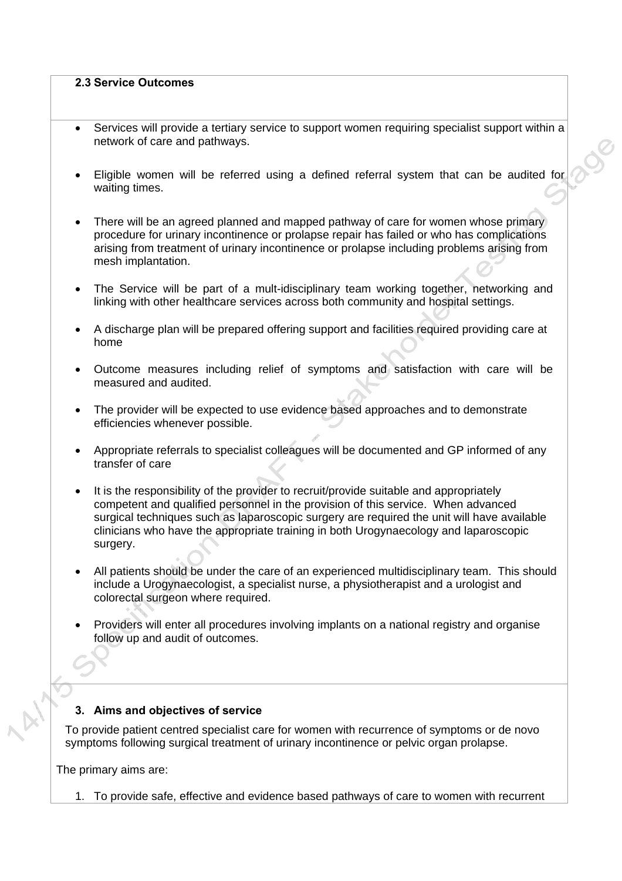#### **2.3 Service Outcomes**

- Services will provide a tertiary service to support women requiring specialist support within a network of care and pathways.
- Eligible women will be referred using a defined referral system that can be audited for waiting times.
- There will be an agreed planned and mapped pathway of care for women whose primary procedure for urinary incontinence or prolapse repair has failed or who has complications arising from treatment of urinary incontinence or prolapse including problems arising from mesh implantation.
- The Service will be part of a mult-idisciplinary team working together, networking and linking with other healthcare services across both community and hospital settings.
- A discharge plan will be prepared offering support and facilities required providing care at home
- Outcome measures including relief of symptoms and satisfaction with care will be measured and audited.
- The provider will be expected to use evidence based approaches and to demonstrate efficiencies whenever possible.
- Appropriate referrals to specialist colleagues will be documented and GP informed of any transfer of care
- It is the responsibility of the provider to recruit/provide suitable and appropriately competent and qualified personnel in the provision of this service. When advanced surgical techniques such as laparoscopic surgery are required the unit will have available clinicians who have the appropriate training in both Urogynaecology and laparoscopic surgery.
- All patients should be under the care of an experienced multidisciplinary team. This should include a Urogynaecologist, a specialist nurse, a physiotherapist and a urologist and colorectal surgeon where required.
- Providers will enter all procedures involving implants on a national registry and organise follow up and audit of outcomes.

#### **3. Aims and objectives of service**

To provide patient centred specialist care for women with recurrence of symptoms or de novo symptoms following surgical treatment of urinary incontinence or pelvic organ prolapse.

The primary aims are:

1. To provide safe, effective and evidence based pathways of care to women with recurrent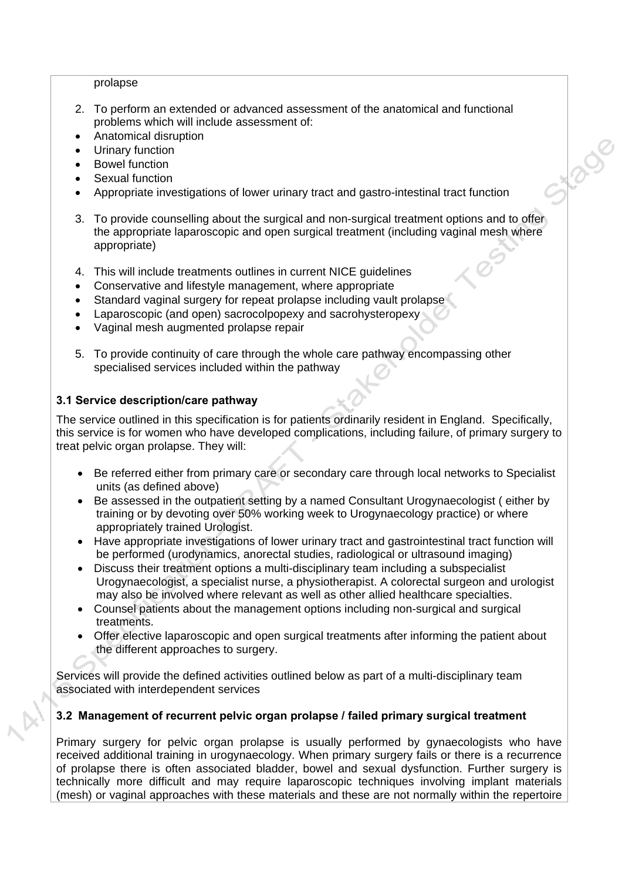#### prolapse

- 2. To perform an extended or advanced assessment of the anatomical and functional problems which will include assessment of:
- Anatomical disruption
- Urinary function
- Bowel function
- Sexual function
- Appropriate investigations of lower urinary tract and gastro-intestinal tract function
- 3. To provide counselling about the surgical and non-surgical treatment options and to offer the appropriate laparoscopic and open surgical treatment (including vaginal mesh where appropriate)

S1.2008

- 4. This will include treatments outlines in current NICE guidelines
- Conservative and lifestyle management, where appropriate
- Standard vaginal surgery for repeat prolapse including vault prolapse
- Laparoscopic (and open) sacrocolpopexy and sacrohysteropexy
- Vaginal mesh augmented prolapse repair
- 5. To provide continuity of care through the whole care pathway encompassing other specialised services included within the pathway

#### **3.1 Service description/care pathway**

The service outlined in this specification is for patients ordinarily resident in England. Specifically, this service is for women who have developed complications, including failure, of primary surgery to treat pelvic organ prolapse. They will:

- Be referred either from primary care or secondary care through local networks to Specialist units (as defined above)
- Be assessed in the outpatient setting by a named Consultant Urogynaecologist ( either by training or by devoting over 50% working week to Urogynaecology practice) or where appropriately trained Urologist.
- Have appropriate investigations of lower urinary tract and gastrointestinal tract function will be performed (urodynamics, anorectal studies, radiological or ultrasound imaging)
- Discuss their treatment options a multi-disciplinary team including a subspecialist Urogynaecologist, a specialist nurse, a physiotherapist. A colorectal surgeon and urologist may also be involved where relevant as well as other allied healthcare specialties.
- Counsel patients about the management options including non-surgical and surgical treatments.
- Offer elective laparoscopic and open surgical treatments after informing the patient about the different approaches to surgery.

Services will provide the defined activities outlined below as part of a multi-disciplinary team associated with interdependent services

#### **3.2 Management of recurrent pelvic organ prolapse / failed primary surgical treatment**

Primary surgery for pelvic organ prolapse is usually performed by gynaecologists who have received additional training in urogynaecology. When primary surgery fails or there is a recurrence of prolapse there is often associated bladder, bowel and sexual dysfunction. Further surgery is technically more difficult and may require laparoscopic techniques involving implant materials (mesh) or vaginal approaches with these materials and these are not normally within the repertoire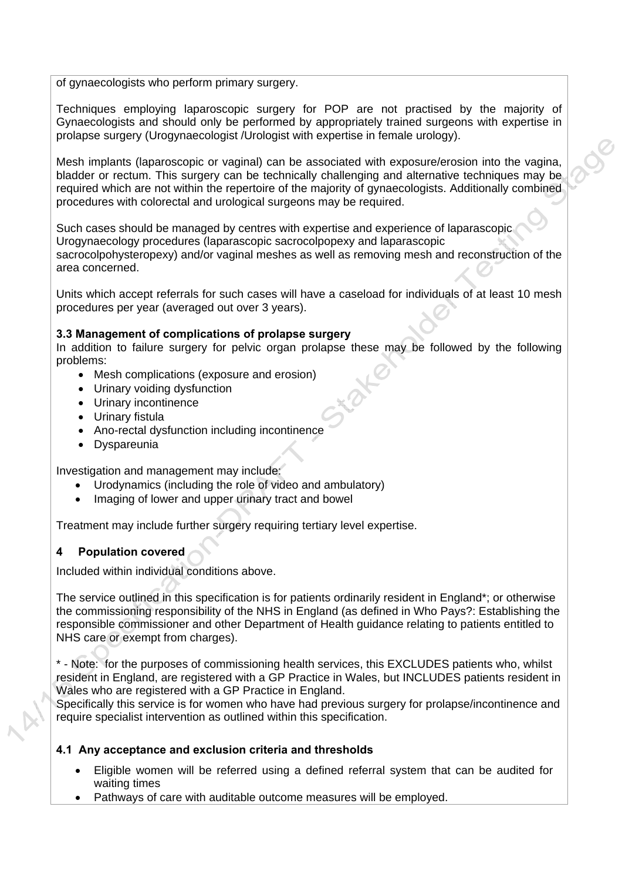of gynaecologists who perform primary surgery.

Techniques employing laparoscopic surgery for POP are not practised by the majority of Gynaecologists and should only be performed by appropriately trained surgeons with expertise in prolapse surgery (Urogynaecologist /Urologist with expertise in female urology).

Mesh implants (laparoscopic or vaginal) can be associated with exposure/erosion into the vagina, bladder or rectum. This surgery can be technically challenging and alternative techniques may be required which are not within the repertoire of the majority of gynaecologists. Additionally combined procedures with colorectal and urological surgeons may be required.

Such cases should be managed by centres with expertise and experience of laparascopic Urogynaecology procedures (laparascopic sacrocolpopexy and laparascopic sacrocolpohysteropexy) and/or vaginal meshes as well as removing mesh and reconstruction of the area concerned.

Units which accept referrals for such cases will have a caseload for individuals of at least 10 mesh procedures per year (averaged out over 3 years).

#### **3.3 Management of complications of prolapse surgery**

In addition to failure surgery for pelvic organ prolapse these may be followed by the following problems:

- Mesh complications (exposure and erosion)
- Urinary voiding dysfunction
- Urinary incontinence
- Urinary fistula
- Ano-rectal dysfunction including incontinence
- Dyspareunia

Investigation and management may include:

- Urodynamics (including the role of video and ambulatory)
- Imaging of lower and upper urinary tract and bowel

Treatment may include further surgery requiring tertiary level expertise.

#### **4 Population covered**

Included within individual conditions above.

The service outlined in this specification is for patients ordinarily resident in England\*; or otherwise the commissioning responsibility of the NHS in England (as defined in Who Pays?: Establishing the responsible commissioner and other Department of Health guidance relating to patients entitled to NHS care or exempt from charges).

\* - Note: for the purposes of commissioning health services, this EXCLUDES patients who, whilst resident in England, are registered with a GP Practice in Wales, but INCLUDES patients resident in Wales who are registered with a GP Practice in England.

Specifically this service is for women who have had previous surgery for prolapse/incontinence and require specialist intervention as outlined within this specification.

#### **4.1 Any acceptance and exclusion criteria and thresholds**

- Eligible women will be referred using a defined referral system that can be audited for waiting times
- Pathways of care with auditable outcome measures will be employed.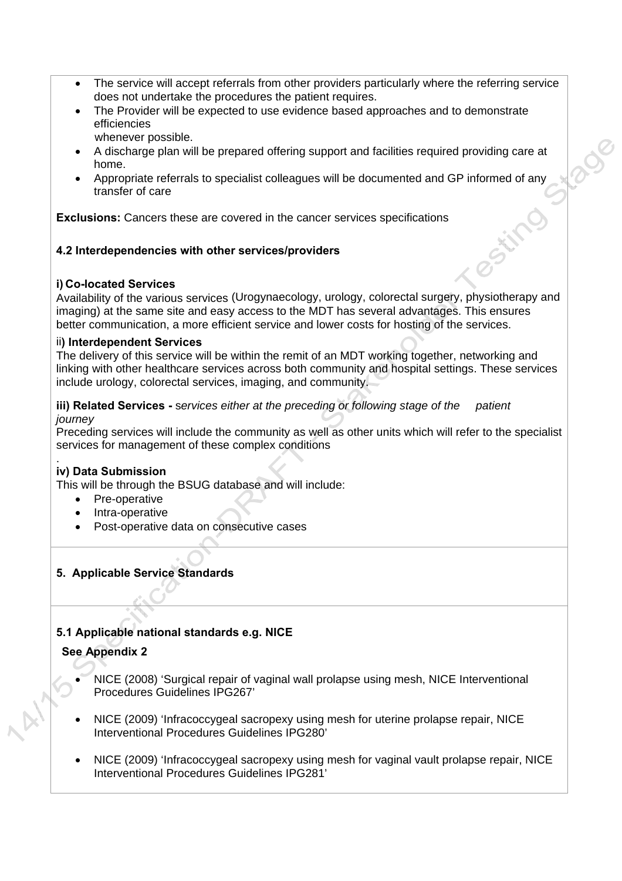- The service will accept referrals from other providers particularly where the referring service does not undertake the procedures the patient requires.
- The Provider will be expected to use evidence based approaches and to demonstrate efficiencies whenever possible.
- A discharge plan will be prepared offering support and facilities required providing care at home.
- Appropriate referrals to specialist colleagues will be documented and GP informed of any transfer of care

**Exclusions:** Cancers these are covered in the cancer services specifications

#### **4.2 Interdependencies with other services/providers**

#### **i) Co-located Services**

Availability of the various services (Urogynaecology, urology, colorectal surgery, physiotherapy and imaging) at the same site and easy access to the MDT has several advantages. This ensures better communication, a more efficient service and lower costs for hosting of the services.

#### ii**) Interdependent Services**

The delivery of this service will be within the remit of an MDT working together, networking and linking with other healthcare services across both community and hospital settings. These services include urology, colorectal services, imaging, and community.

#### **iii) Related Services -** s*ervices either at the preceding or following stage of the patient journey*

Preceding services will include the community as well as other units which will refer to the specialist services for management of these complex conditions

#### . **iv) Data Submission**

This will be through the BSUG database and will include:

- Pre-operative
- Intra-operative
- Post-operative data on consecutive cases

#### **5. Applicable Service Standards**

### **5.1 Applicable national standards e.g. NICE**

#### **See Appendix 2**

- NICE (2008) 'Surgical repair of vaginal wall prolapse using mesh, NICE Interventional Procedures Guidelines IPG267'
- NICE (2009) 'Infracoccygeal sacropexy using mesh for uterine prolapse repair, NICE Interventional Procedures Guidelines IPG280'
- NICE (2009) 'Infracoccygeal sacropexy using mesh for vaginal vault prolapse repair, NICE Interventional Procedures Guidelines IPG281'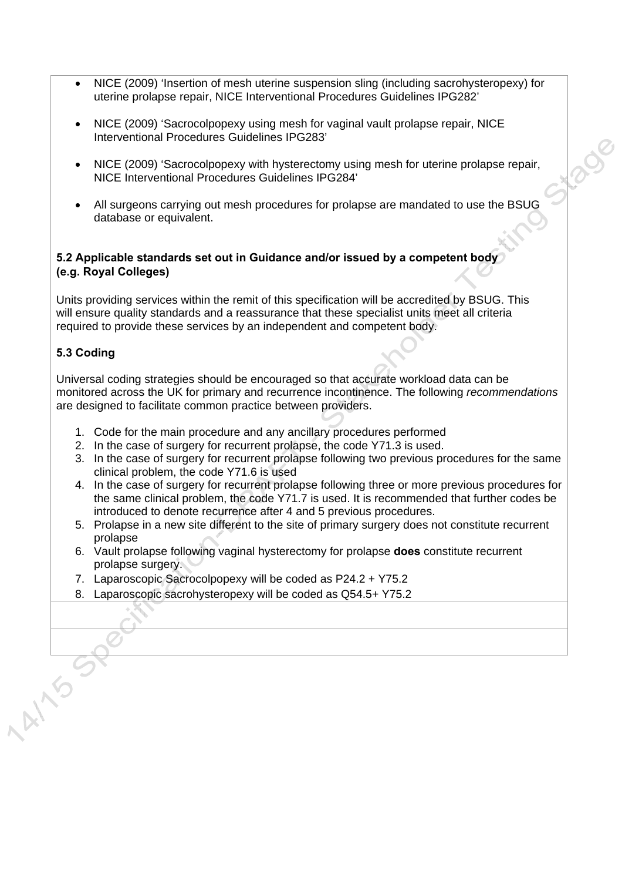- NICE (2009) 'Insertion of mesh uterine suspension sling (including sacrohysteropexy) for uterine prolapse repair, NICE Interventional Procedures Guidelines IPG282'
- NICE (2009) 'Sacrocolpopexy using mesh for vaginal vault prolapse repair, NICE Interventional Procedures Guidelines IPG283'
- NICE (2009) 'Sacrocolpopexy with hysterectomy using mesh for uterine prolapse repair, NICE Interventional Procedures Guidelines IPG284'

Lac

 All surgeons carrying out mesh procedures for prolapse are mandated to use the BSUG database or equivalent.

#### **5.2 Applicable standards set out in Guidance and/or issued by a competent body (e.g. Royal Colleges)**

Units providing services within the remit of this specification will be accredited by BSUG. This will ensure quality standards and a reassurance that these specialist units meet all criteria required to provide these services by an independent and competent body.

### **5.3 Coding**

Universal coding strategies should be encouraged so that accurate workload data can be monitored across the UK for primary and recurrence incontinence. The following *recommendations* are designed to facilitate common practice between providers.

- 1. Code for the main procedure and any ancillary procedures performed
- 2. In the case of surgery for recurrent prolapse, the code Y71.3 is used.
- 3. In the case of surgery for recurrent prolapse following two previous procedures for the same clinical problem, the code Y71.6 is used
- 4. In the case of surgery for recurrent prolapse following three or more previous procedures for the same clinical problem, the code Y71.7 is used. It is recommended that further codes be introduced to denote recurrence after 4 and 5 previous procedures.
- 5. Prolapse in a new site different to the site of primary surgery does not constitute recurrent prolapse
- 6. Vault prolapse following vaginal hysterectomy for prolapse **does** constitute recurrent prolapse surgery.
- 7. Laparoscopic Sacrocolpopexy will be coded as P24.2 + Y75.2
- 8. Laparoscopic sacrohysteropexy will be coded as Q54.5+ Y75.2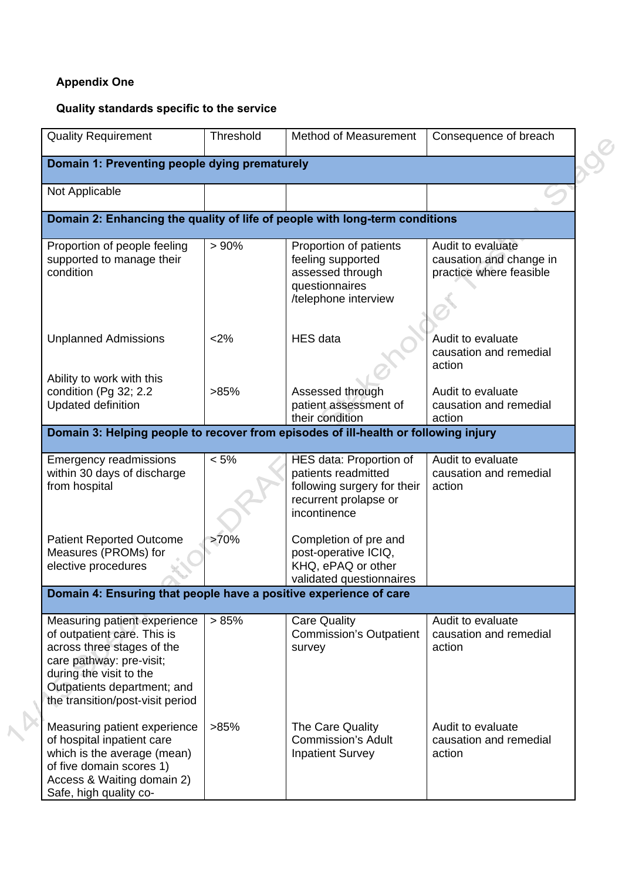# **Appendix One**

# **Quality standards specific to the service**

|                | <b>Quality Requirement</b>                                                                                                                                                                                          | Threshold | Method of Measurement                                                                                                  | Consequence of breach                                                   |  |  |  |  |
|----------------|---------------------------------------------------------------------------------------------------------------------------------------------------------------------------------------------------------------------|-----------|------------------------------------------------------------------------------------------------------------------------|-------------------------------------------------------------------------|--|--|--|--|
|                | Domain 1: Preventing people dying prematurely                                                                                                                                                                       |           |                                                                                                                        |                                                                         |  |  |  |  |
| Not Applicable |                                                                                                                                                                                                                     |           |                                                                                                                        |                                                                         |  |  |  |  |
|                | Domain 2: Enhancing the quality of life of people with long-term conditions                                                                                                                                         |           |                                                                                                                        |                                                                         |  |  |  |  |
| condition      | Proportion of people feeling<br>supported to manage their                                                                                                                                                           | > 90%     | Proportion of patients<br>feeling supported<br>assessed through<br>questionnaires<br>/telephone interview              | Audit to evaluate<br>causation and change in<br>practice where feasible |  |  |  |  |
|                | <b>Unplanned Admissions</b>                                                                                                                                                                                         | <2%       | <b>HES</b> data                                                                                                        | Audit to evaluate<br>causation and remedial<br>action                   |  |  |  |  |
|                | Ability to work with this<br>condition (Pg 32; 2.2<br><b>Updated definition</b>                                                                                                                                     | >85%      | Assessed through<br>patient assessment of<br>their condition                                                           | Audit to evaluate<br>causation and remedial<br>action                   |  |  |  |  |
|                | Domain 3: Helping people to recover from episodes of ill-health or following injury                                                                                                                                 |           |                                                                                                                        |                                                                         |  |  |  |  |
| from hospital  | <b>Emergency readmissions</b><br>within 30 days of discharge                                                                                                                                                        | $< 5\%$   | HES data: Proportion of<br>patients readmitted<br>following surgery for their<br>recurrent prolapse or<br>incontinence | Audit to evaluate<br>causation and remedial<br>action                   |  |  |  |  |
|                | <b>Patient Reported Outcome</b><br>Measures (PROMs) for<br>elective procedures                                                                                                                                      | >70%      | Completion of pre and<br>post-operative ICIQ,<br>KHQ, ePAQ or other<br>validated questionnaires                        |                                                                         |  |  |  |  |
|                |                                                                                                                                                                                                                     |           | Domain 4: Ensuring that people have a positive experience of care                                                      |                                                                         |  |  |  |  |
|                | Measuring patient experience<br>of outpatient care. This is<br>across three stages of the<br>care pathway: pre-visit;<br>during the visit to the<br>Outpatients department; and<br>the transition/post-visit period | > 85%     | <b>Care Quality</b><br><b>Commission's Outpatient</b><br>survey                                                        | Audit to evaluate<br>causation and remedial<br>action                   |  |  |  |  |
|                | Measuring patient experience<br>of hospital inpatient care<br>which is the average (mean)<br>of five domain scores 1)<br>Access & Waiting domain 2)<br>Safe, high quality co-                                       | >85%      | The Care Quality<br><b>Commission's Adult</b><br><b>Inpatient Survey</b>                                               | Audit to evaluate<br>causation and remedial<br>action                   |  |  |  |  |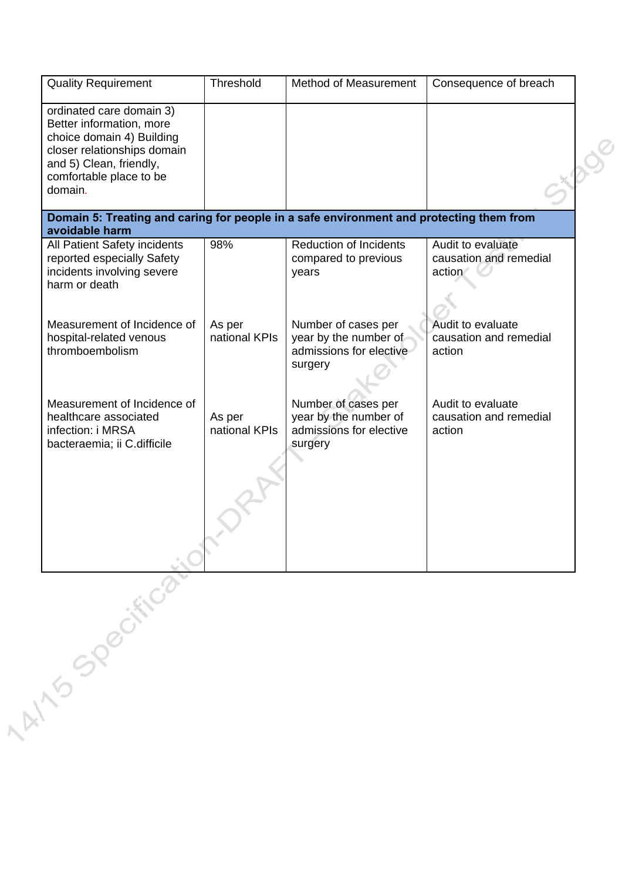| <b>Quality Requirement</b>                                                                                                                                                        | Threshold               | Method of Measurement                                                              | Consequence of breach                                 |
|-----------------------------------------------------------------------------------------------------------------------------------------------------------------------------------|-------------------------|------------------------------------------------------------------------------------|-------------------------------------------------------|
| ordinated care domain 3)<br>Better information, more<br>choice domain 4) Building<br>closer relationships domain<br>and 5) Clean, friendly,<br>comfortable place to be<br>domain. |                         |                                                                                    |                                                       |
| Domain 5: Treating and caring for people in a safe environment and protecting them from<br>avoidable harm                                                                         |                         |                                                                                    |                                                       |
| All Patient Safety incidents<br>reported especially Safety<br>incidents involving severe<br>harm or death                                                                         | 98%                     | <b>Reduction of Incidents</b><br>compared to previous<br>years                     | Audit to evaluate<br>causation and remedial<br>action |
| Measurement of Incidence of<br>hospital-related venous<br>thromboembolism                                                                                                         | As per<br>national KPIs | Number of cases per<br>year by the number of<br>admissions for elective<br>surgery | Audit to evaluate<br>causation and remedial<br>action |
| Measurement of Incidence of<br>healthcare associated<br>infection: i MRSA<br>bacteraemia; ii C.difficile                                                                          | As per<br>national KPIs | Number of cases per<br>year by the number of<br>admissions for elective<br>surgery | Audit to evaluate<br>causation and remedial<br>action |
|                                                                                                                                                                                   |                         |                                                                                    |                                                       |
| 1 At 15 Specification                                                                                                                                                             |                         |                                                                                    |                                                       |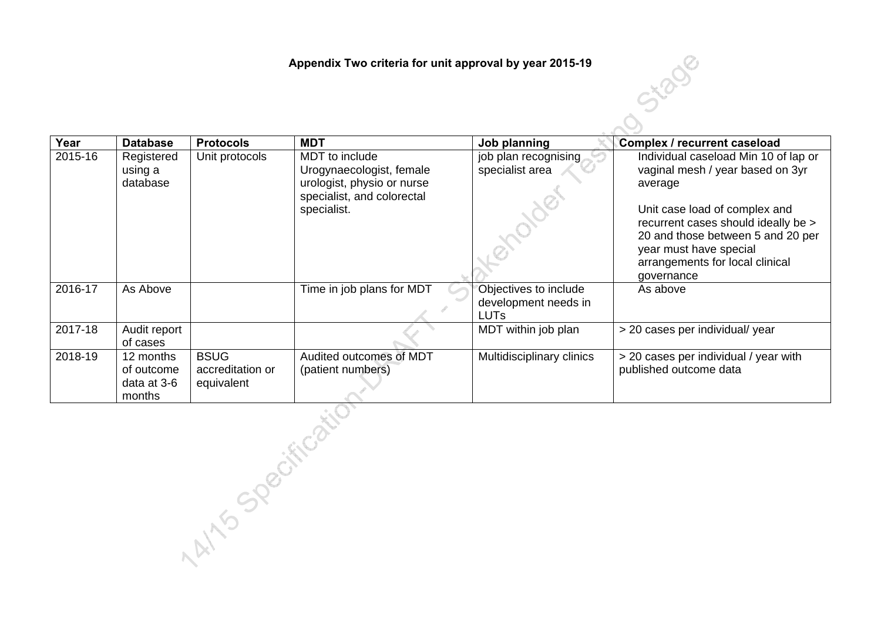**Appendix Two criteria for unit approval by year 2015-19** 

| Year             | <b>Database</b>                                  | <b>Protocols</b>                              | <b>MDT</b>                                                                                                            | Job planning                                                 | <b>Complex / recurrent caseload</b>                                                                                                                                                                                                                                         |  |
|------------------|--------------------------------------------------|-----------------------------------------------|-----------------------------------------------------------------------------------------------------------------------|--------------------------------------------------------------|-----------------------------------------------------------------------------------------------------------------------------------------------------------------------------------------------------------------------------------------------------------------------------|--|
| 2015-16          | Registered<br>using a<br>database                | Unit protocols                                | MDT to include<br>Urogynaecologist, female<br>urologist, physio or nurse<br>specialist, and colorectal<br>specialist. | job plan recognising<br>specialist area                      | Individual caseload Min 10 of lap or<br>vaginal mesh / year based on 3yr<br>average<br>Unit case load of complex and<br>recurrent cases should ideally be ><br>20 and those between 5 and 20 per<br>year must have special<br>arrangements for local clinical<br>governance |  |
| 2016-17          | As Above                                         |                                               | Time in job plans for MDT                                                                                             | Objectives to include<br>development needs in<br><b>LUTs</b> | As above                                                                                                                                                                                                                                                                    |  |
| 2017-18          | Audit report<br>of cases                         |                                               |                                                                                                                       | MDT within job plan                                          | > 20 cases per individual/ year                                                                                                                                                                                                                                             |  |
| 2018-19          | 12 months<br>of outcome<br>data at 3-6<br>months | <b>BSUG</b><br>accreditation or<br>equivalent | Audited outcomes of MDT<br>(patient numbers)                                                                          | Multidisciplinary clinics                                    | > 20 cases per individual / year with<br>published outcome data                                                                                                                                                                                                             |  |
| M15 Specificatie |                                                  |                                               |                                                                                                                       |                                                              |                                                                                                                                                                                                                                                                             |  |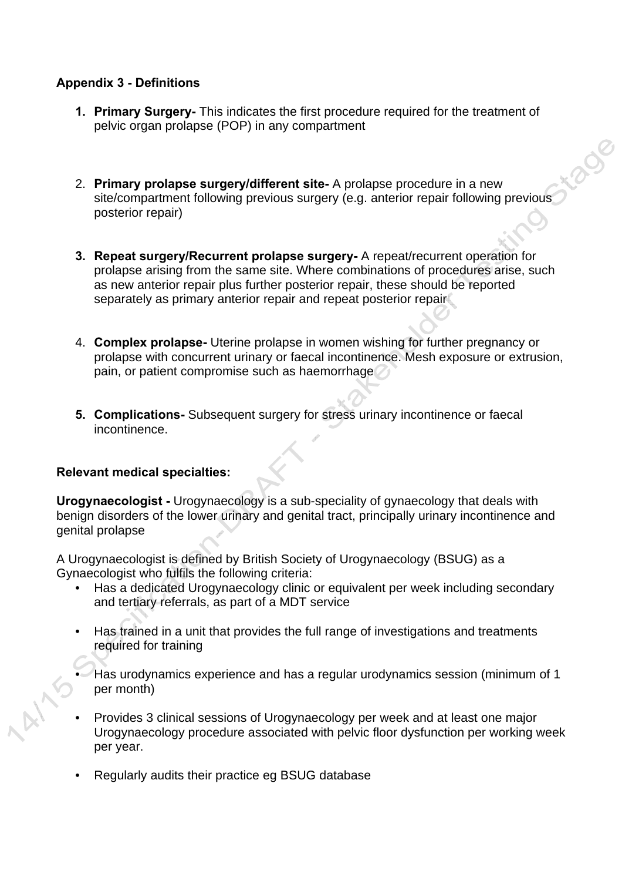## **Appendix 3 - Definitions**

- **1. Primary Surgery-** This indicates the first procedure required for the treatment of pelvic organ prolapse (POP) in any compartment
- 2. **Primary prolapse surgery/different site-** A prolapse procedure in a new site/compartment following previous surgery (e.g. anterior repair following previous posterior repair)

tiage

- **3. Repeat surgery/Recurrent prolapse surgery-** A repeat/recurrent operation for prolapse arising from the same site. Where combinations of procedures arise, such as new anterior repair plus further posterior repair, these should be reported separately as primary anterior repair and repeat posterior repair
- 4. **Complex prolapse-** Uterine prolapse in women wishing for further pregnancy or prolapse with concurrent urinary or faecal incontinence. Mesh exposure or extrusion, pain, or patient compromise such as haemorrhage
- **5. Complications-** Subsequent surgery for stress urinary incontinence or faecal incontinence.

# **Relevant medical specialties:**

**Urogynaecologist -** Urogynaecology is a sub-speciality of gynaecology that deals with benign disorders of the lower urinary and genital tract, principally urinary incontinence and genital prolapse

A Urogynaecologist is defined by British Society of Urogynaecology (BSUG) as a Gynaecologist who fulfils the following criteria:

- Has a dedicated Urogynaecology clinic or equivalent per week including secondary and tertiary referrals, as part of a MDT service
- Has trained in a unit that provides the full range of investigations and treatments required for training
- Has urodynamics experience and has a regular urodynamics session (minimum of 1 per month)
- Provides 3 clinical sessions of Urogynaecology per week and at least one major Urogynaecology procedure associated with pelvic floor dysfunction per working week per year.
- Regularly audits their practice eg BSUG database